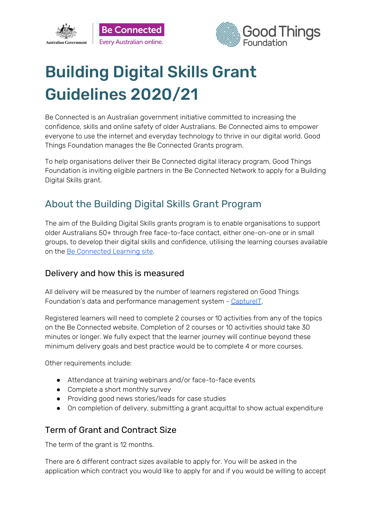



# Building Digital Skills Grant Guidelines 2020/21

Be Connected is an Australian government initiative committed to increasing the confidence, skills and online safety of older Australians. Be Connected aims to empower everyone to use the internet and everyday technology to thrive in our digital world. Good Things Foundation manages the Be Connected Grants program.

To help organisations deliver their Be Connected digital literacy program, Good Things Foundation is inviting eligible partners in the Be Connected Network to apply for a Building Digital Skills grant.

# About the Building Digital Skills Grant Program

The aim of the Building Digital Skills grants program is to enable organisations to support older Australians 50+ through free face-to-face contact, either one-on-one or in small groups, to develop their digital skills and confidence, utilising the learning courses available on the Be [Connected](https://beconnected.esafety.gov.au/topic-library) Learning site.

### Delivery and how this is measured

All delivery will be measured by the number of learners registered on Good Things Foundation's data and performance management system - [CaptureIT.](https://www.beconnectednetwork.org.au/sites/default/files/registering_learners_with_captureit.pdf)

Registered learners will need to complete 2 courses or 10 activities from any of the topics on the Be Connected website. Completion of 2 courses or 10 activities should take 30 minutes or longer. We fully expect that the learner journey will continue beyond these minimum delivery goals and best practice would be to complete 4 or more courses.

Other requirements include:

- Attendance at training webinars and/or face-to-face events
- Complete a short monthly survey
- Providing good news stories/leads for case studies
- On completion of delivery, submitting a grant acquittal to show actual expenditure

### Term of Grant and Contract Size

The term of the grant is 12 months.

There are 6 different contract sizes available to apply for. You will be asked in the application which contract you would like to apply for and if you would be willing to accept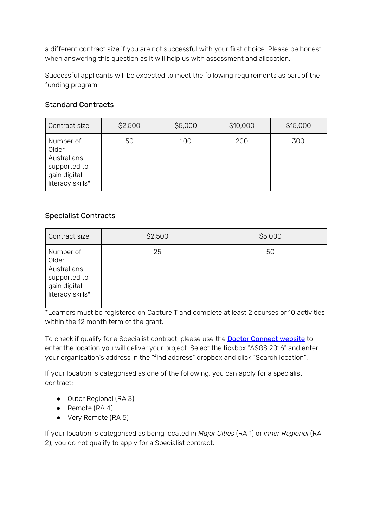a different contract size if you are not successful with your first choice. Please be honest when answering this question as it will help us with assessment and allocation.

Successful applicants will be expected to meet the following requirements as part of the funding program:

### Standard Contracts

| Contract size                                                                         | \$2,500 | \$5,000 | \$10,000 | \$15,000 |
|---------------------------------------------------------------------------------------|---------|---------|----------|----------|
| Number of<br>Older<br>Australians<br>supported to<br>gain digital<br>literacy skills* | 50      | 100     | 200      | 300      |

### Specialist Contracts

| Contract size                                                                         | \$2,500 | \$5,000 |
|---------------------------------------------------------------------------------------|---------|---------|
| Number of<br>Older<br>Australians<br>supported to<br>gain digital<br>literacy skills* | 25      | 50      |

\*Learners must be registered on CaptureIT and complete at least 2 courses or 10 activities within the 12 month term of the grant.

To check if qualify for a Specialist contract, please use the **Doctor [Connect](https://www.health.gov.au/resources/apps-and-tools/health-workforce-locator/health-workforce-locator) website** to enter the location you will deliver your project. Select the tickbox "ASGS 2016" and enter your organisation's address in the "find address" dropbox and click "Search location".

If your location is categorised as one of the following, you can apply for a specialist contract:

- Outer Regional (RA 3)
- Remote (RA 4)
- Very Remote (RA 5)

If your location is categorised as being located in *Major Cities* (RA 1) or *Inner Regional* (RA 2), you do not qualify to apply for a Specialist contract.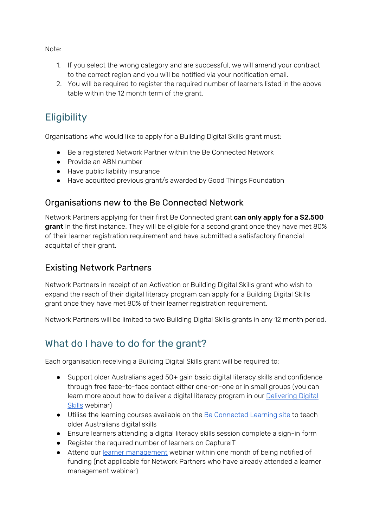Note:

- 1. If you select the wrong category and are successful, we will amend your contract to the correct region and you will be notified via your notification email.
- 2. You will be required to register the required number of learners listed in the above table within the 12 month term of the grant.

# **Eligibility**

Organisations who would like to apply for a Building Digital Skills grant must:

- Be a registered Network Partner within the Be Connected Network
- Provide an ABN number
- Have public liability insurance
- Have acquitted previous grant/s awarded by Good Things Foundation

### Organisations new to the Be Connected Network

Network Partners applying for their first Be Connected grant can only apply for a \$2,500 grant in the first instance. They will be eligible for a second grant once they have met 80% of their learner registration requirement and have submitted a satisfactory financial acquittal of their grant.

### Existing Network Partners

Network Partners in receipt of an Activation or Building Digital Skills grant who wish to expand the reach of their digital literacy program can apply for a Building Digital Skills grant once they have met 80% of their learner registration requirement.

Network Partners will be limited to two Building Digital Skills grants in any 12 month period.

# What do I have to do for the grant?

Each organisation receiving a Building Digital Skills grant will be required to:

- Support older Australians aged 50+ gain basic digital literacy skills and confidence through free face-to-face contact either one-on-one or in small groups (you can learn more about how to deliver a digital literacy program in our **[Delivering](https://zoom.us/webinar/register/6015796472426/WN_D_OZAjh8S7yT39JoGBvsPg) Digital** [Skills](https://zoom.us/webinar/register/6015796472426/WN_D_OZAjh8S7yT39JoGBvsPg) webinar)
- Utilise the learning courses available on the Be [Connected](https://beconnected.esafety.gov.au/topic-library) Learning site to teach older Australians digital skills
- Ensure learners attending a digital literacy skills session complete a sign-in form
- Register the required number of learners on CaptureIT
- Attend our learner [management](https://zoom.us/webinar/register/6015796471678/WN_J2x9_cS0RFuvUzL_PpWTYw) webinar within one month of being notified of funding (not applicable for Network Partners who have already attended a learner management webinar)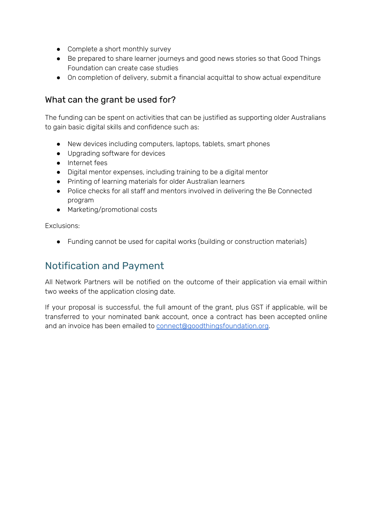- Complete a short monthly survey
- Be prepared to share learner journeys and good news stories so that Good Things Foundation can create case studies
- On completion of delivery, submit a financial acquittal to show actual expenditure

### What can the grant be used for?

The funding can be spent on activities that can be justified as supporting older Australians to gain basic digital skills and confidence such as:

- New devices including computers, laptops, tablets, smart phones
- Upgrading software for devices
- Internet fees
- Digital mentor expenses, including training to be a digital mentor
- Printing of learning materials for older Australian learners
- Police checks for all staff and mentors involved in delivering the Be Connected program
- Marketing/promotional costs

Exclusions:

● Funding cannot be used for capital works (building or construction materials)

## Notification and Payment

All Network Partners will be notified on the outcome of their application via email within two weeks of the application closing date.

If your proposal is successful, the full amount of the grant, plus GST if applicable, will be transferred to your nominated bank account, once a contract has been accepted online and an invoice has been emailed to [connect@goodthingsfoundation.org](mailto:connect@goodthingsfoundation.org).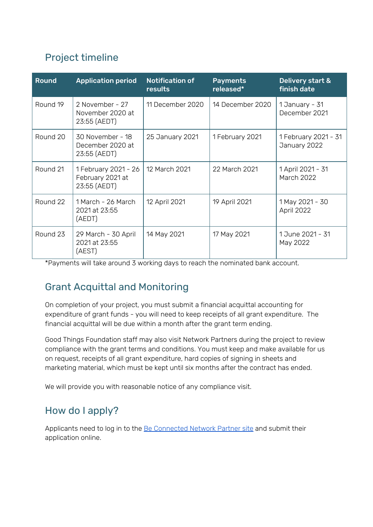# Project timeline

| <b>Round</b> | <b>Application period</b>                                | <b>Notification of</b><br>results | <b>Payments</b><br>released* | Delivery start &<br>finish date        |
|--------------|----------------------------------------------------------|-----------------------------------|------------------------------|----------------------------------------|
| Round 19     | 2 November - 27<br>November 2020 at<br>23:55 (AEDT)      | 11 December 2020                  | 14 December 2020             | 1 January - 31<br>December 2021        |
| Round 20     | 30 November - 18<br>December 2020 at<br>23:55 (AEDT)     | 25 January 2021                   | 1 February 2021              | 1 February 2021 - 31<br>January 2022   |
| Round 21     | 1 February 2021 - 26<br>February 2021 at<br>23:55 (AEDT) | 12 March 2021                     | 22 March 2021                | 1 April 2021 - 31<br><b>March 2022</b> |
| Round 22     | 1 March - 26 March<br>2021 at 23:55<br>(AEDT)            | 12 April 2021                     | 19 April 2021                | 1 May 2021 - 30<br>April 2022          |
| Round 23     | 29 March - 30 April<br>2021 at 23:55<br>(AEST)           | 14 May 2021                       | 17 May 2021                  | 1 June 2021 - 31<br>May 2022           |

\*Payments will take around 3 working days to reach the nominated bank account.

# Grant Acquittal and Monitoring

On completion of your project, you must submit a financial acquittal accounting for expenditure of grant funds - you will need to keep receipts of all grant expenditure. The financial acquittal will be due within a month after the grant term ending.

Good Things Foundation staff may also visit Network Partners during the project to review compliance with the grant terms and conditions. You must keep and make available for us on request, receipts of all grant expenditure, hard copies of signing in sheets and marketing material, which must be kept until six months after the contract has ended.

We will provide you with reasonable notice of any compliance visit.

# How do I apply?

Applicants need to log in to the Be [Connected](https://www.beconnectednetwork.org.au/be-connected-network/apply-for-a-grant) Network Partner site and submit their application online.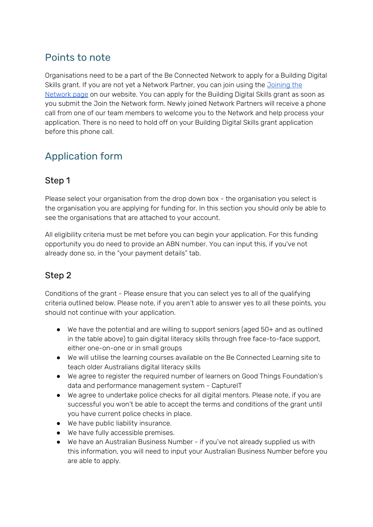# Points to note

Organisations need to be a part of the Be Connected Network to apply for a Building Digital Skills grant. If you are not yet a Network Partner, you can join using the *[Joining](https://www.beconnectednetwork.org.au/join-the-network-step-1) the* [Network](https://www.beconnectednetwork.org.au/join-the-network-step-1) page on our website. You can apply for the Building Digital Skills grant as soon as you submit the Join the Network form. Newly joined Network Partners will receive a phone call from one of our team members to welcome you to the Network and help process your application. There is no need to hold off on your Building Digital Skills grant application before this phone call.

# Application form

### Step 1

Please select your organisation from the drop down box - the organisation you select is the organisation you are applying for funding for. In this section you should only be able to see the organisations that are attached to your account.

All eligibility criteria must be met before you can begin your application. For this funding opportunity you do need to provide an ABN number. You can input this, if you've not already done so, in the "your payment details" tab.

### Step 2

Conditions of the grant - Please ensure that you can select yes to all of the qualifying criteria outlined below. Please note, if you aren't able to answer yes to all these points, you should not continue with your application.

- We have the potential and are willing to support seniors (aged 50+ and as outlined in the table above) to gain digital literacy skills through free face-to-face support, either one-on-one or in small groups
- We will utilise the learning courses available on the Be Connected Learning site to teach older Australians digital literacy skills
- We agree to register the required number of learners on Good Things Foundation's data and performance management system - CaptureIT
- We agree to undertake police checks for all digital mentors. Please note, if you are successful you won't be able to accept the terms and conditions of the grant until you have current police checks in place.
- We have public liability insurance.
- We have fully accessible premises.
- We have an Australian Business Number if you've not already supplied us with this information, you will need to input your Australian Business Number before you are able to apply.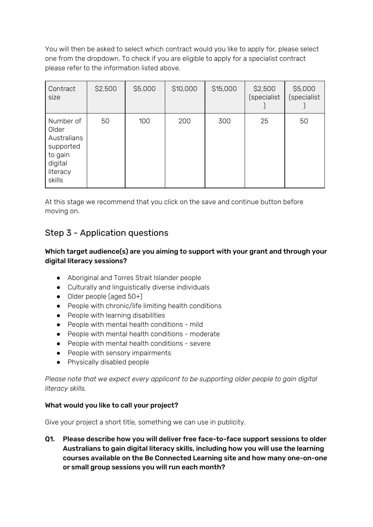You will then be asked to select which contract would you like to apply for, please select one from the dropdown. To check if you are eligible to apply for a specialist contract please refer to the information listed above.

| Contract<br>size                                                                           | \$2,500 | \$5,000 | \$10,000 | \$15,000 | \$2,500<br>(specialist | \$5,000<br>(specialist |
|--------------------------------------------------------------------------------------------|---------|---------|----------|----------|------------------------|------------------------|
| Number of<br>Older<br>Australians<br>supported<br>to gain<br>digital<br>literacy<br>skills | 50      | 100     | 200      | 300      | 25                     | 50                     |

At this stage we recommend that you click on the save and continue button before moving on.

### Step 3 - Application questions

#### Which target audience(s) are you aiming to support with your grant and through your digital literacy sessions?

- Aboriginal and Torres Strait Islander people
- Culturally and linguistically diverse individuals
- Older people (aged 50+)
- People with chronic/life limiting health conditions
- People with learning disabilities
- People with mental health conditions mild
- People with mental health conditions moderate
- People with mental health conditions severe
- People with sensory impairments
- Physically disabled people

*Please note that we expect every applicant to be supporting older people to gain digital literacy skills.*

#### What would you like to call your project?

Give your project a short title, something we can use in publicity.

Q1. Please describe how you will deliver free face-to-face support sessions to older Australians to gain digital literacy skills, including how you will use the learning courses available on the Be Connected Learning site and how many one-on-one or small group sessions you will run each month?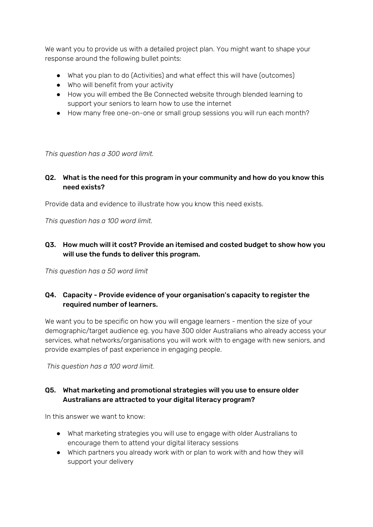We want you to provide us with a detailed project plan. You might want to shape your response around the following bullet points:

- What you plan to do (Activities) and what effect this will have (outcomes)
- Who will benefit from your activity
- How you will embed the Be Connected website through blended learning to support your seniors to learn how to use the internet
- How many free one-on-one or small group sessions you will run each month?

*This question has a 300 word limit.*

#### Q2. What is the need for this program in your community and how do you know this need exists?

Provide data and evidence to illustrate how you know this need exists.

*This question has a 100 word limit.*

#### Q3. How much will it cost? Provide an itemised and costed budget to show how you will use the funds to deliver this program.

*This question has a 50 word limit*

#### Q4. Capacity - Provide evidence of your organisation's capacity to register the required number of learners.

We want you to be specific on how you will engage learners - mention the size of your demographic/target audience eg. you have 300 older Australians who already access your services, what networks/organisations you will work with to engage with new seniors, and provide examples of past experience in engaging people.

*This question has a 100 word limit.*

#### Q5. What marketing and promotional strategies will you use to ensure older Australians are attracted to your digital literacy program?

In this answer we want to know:

- What marketing strategies you will use to engage with older Australians to encourage them to attend your digital literacy sessions
- Which partners you already work with or plan to work with and how they will support your delivery